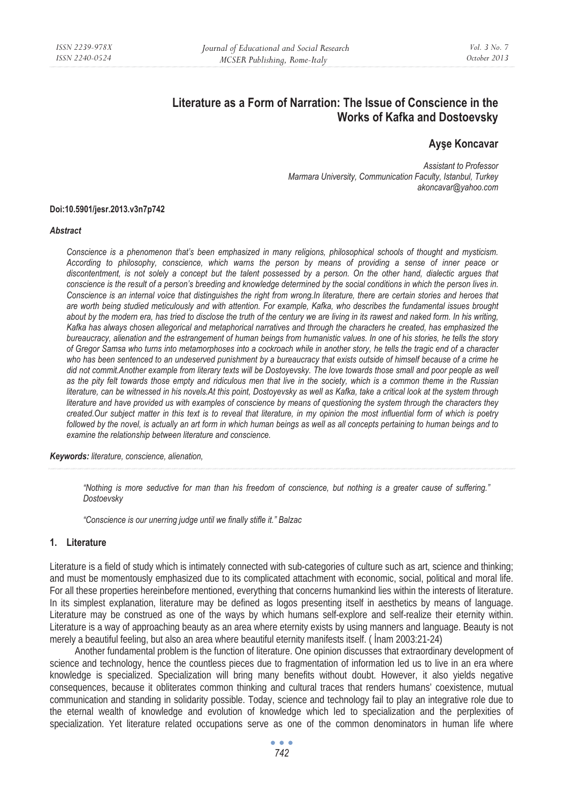# **Literature as a Form of Narration: The Issue of Conscience in the Works of Kafka and Dostoevsky**

## **Ayûe Koncavar**

*Assistant to Professor Marmara University, Communication Faculty, Istanbul, Turkey akoncavar@yahoo.com* 

#### **Doi:10.5901/jesr.2013.v3n7p742**

#### *Abstract*

*Conscience is a phenomenon that's been emphasized in many religions, philosophical schools of thought and mysticism. According to philosophy, conscience, which warns the person by means of providing a sense of inner peace or discontentment, is not solely a concept but the talent possessed by a person. On the other hand, dialectic argues that conscience is the result of a person's breeding and knowledge determined by the social conditions in which the person lives in. Conscience is an internal voice that distinguishes the right from wrong.In literature, there are certain stories and heroes that are worth being studied meticulously and with attention. For example, Kafka, who describes the fundamental issues brought about by the modern era, has tried to disclose the truth of the century we are living in its rawest and naked form. In his writing, Kafka has always chosen allegorical and metaphorical narratives and through the characters he created, has emphasized the bureaucracy, alienation and the estrangement of human beings from humanistic values. In one of his stories, he tells the story of Gregor Samsa who turns into metamorphoses into a cockroach while in another story, he tells the tragic end of a character who has been sentenced to an undeserved punishment by a bureaucracy that exists outside of himself because of a crime he*  did not commit.Another example from literary texts will be Dostoyevsky. The love towards those small and poor people as well *as the pity felt towards those empty and ridiculous men that live in the society, which is a common theme in the Russian literature, can be witnessed in his novels.At this point, Dostoyevsky as well as Kafka, take a critical look at the system through literature and have provided us with examples of conscience by means of questioning the system through the characters they created.Our subject matter in this text is to reveal that literature, in my opinion the most influential form of which is poetry followed by the novel, is actually an art form in which human beings as well as all concepts pertaining to human beings and to examine the relationship between literature and conscience.* 

*Keywords: literature, conscience, alienation,* 

*"Nothing is more seductive for man than his freedom of conscience, but nothing is a greater cause of suffering." Dostoevsky* 

*"Conscience is our unerring judge until we finally stifle it." Balzac* 

### **1. Literature**

Literature is a field of study which is intimately connected with sub-categories of culture such as art, science and thinking; and must be momentously emphasized due to its complicated attachment with economic, social, political and moral life. For all these properties hereinbefore mentioned, everything that concerns humankind lies within the interests of literature. In its simplest explanation, literature may be defined as logos presenting itself in aesthetics by means of language. Literature may be construed as one of the ways by which humans self-explore and self-realize their eternity within. Literature is a way of approaching beauty as an area where eternity exists by using manners and language. Beauty is not merely a beautiful feeling, but also an area where beautiful eternity manifests itself. (Inam 2003:21-24)

Another fundamental problem is the function of literature. One opinion discusses that extraordinary development of science and technology, hence the countless pieces due to fragmentation of information led us to live in an era where knowledge is specialized. Specialization will bring many benefits without doubt. However, it also yields negative consequences, because it obliterates common thinking and cultural traces that renders humans' coexistence, mutual communication and standing in solidarity possible. Today, science and technology fail to play an integrative role due to the eternal wealth of knowledge and evolution of knowledge which led to specialization and the perplexities of specialization. Yet literature related occupations serve as one of the common denominators in human life where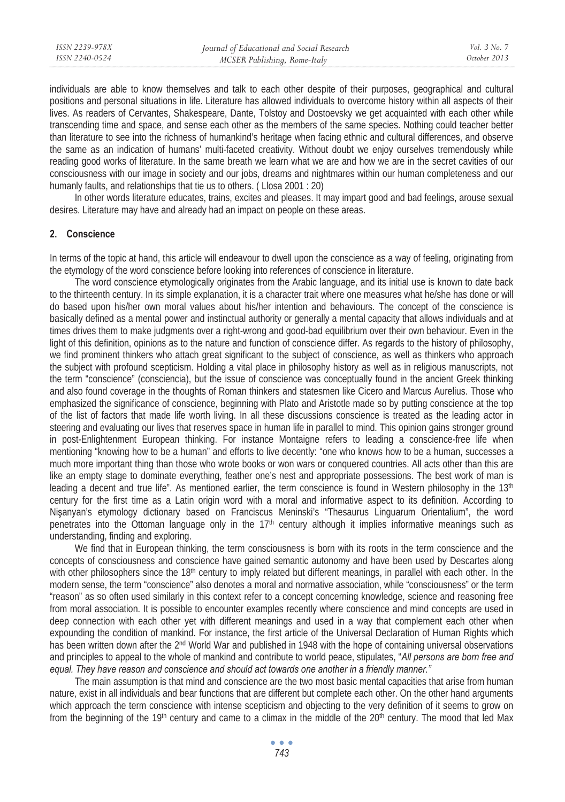| ISSN 2239-978X | Journal of Educational and Social Research | Vol. 3 No. 7 |
|----------------|--------------------------------------------|--------------|
| ISSN 2240-0524 | MCSER Publishing, Rome-Italy               | October 2013 |
|                |                                            |              |

individuals are able to know themselves and talk to each other despite of their purposes, geographical and cultural positions and personal situations in life. Literature has allowed individuals to overcome history within all aspects of their lives. As readers of Cervantes, Shakespeare, Dante, Tolstoy and Dostoevsky we get acquainted with each other while transcending time and space, and sense each other as the members of the same species. Nothing could teacher better than literature to see into the richness of humankind's heritage when facing ethnic and cultural differences, and observe the same as an indication of humans' multi-faceted creativity. Without doubt we enjoy ourselves tremendously while reading good works of literature. In the same breath we learn what we are and how we are in the secret cavities of our consciousness with our image in society and our jobs, dreams and nightmares within our human completeness and our humanly faults, and relationships that tie us to others. ( Llosa 2001 : 20)

In other words literature educates, trains, excites and pleases. It may impart good and bad feelings, arouse sexual desires. Literature may have and already had an impact on people on these areas.

### **2. Conscience**

In terms of the topic at hand, this article will endeavour to dwell upon the conscience as a way of feeling, originating from the etymology of the word conscience before looking into references of conscience in literature.

The word conscience etymologically originates from the Arabic language, and its initial use is known to date back to the thirteenth century. In its simple explanation, it is a character trait where one measures what he/she has done or will do based upon his/her own moral values about his/her intention and behaviours. The concept of the conscience is basically defined as a mental power and instinctual authority or generally a mental capacity that allows individuals and at times drives them to make judgments over a right-wrong and good-bad equilibrium over their own behaviour. Even in the light of this definition, opinions as to the nature and function of conscience differ. As regards to the history of philosophy, we find prominent thinkers who attach great significant to the subject of conscience, as well as thinkers who approach the subject with profound scepticism. Holding a vital place in philosophy history as well as in religious manuscripts, not the term "conscience" (consciencia), but the issue of conscience was conceptually found in the ancient Greek thinking and also found coverage in the thoughts of Roman thinkers and statesmen like Cicero and Marcus Aurelius. Those who emphasized the significance of conscience, beginning with Plato and Aristotle made so by putting conscience at the top of the list of factors that made life worth living. In all these discussions conscience is treated as the leading actor in steering and evaluating our lives that reserves space in human life in parallel to mind. This opinion gains stronger ground in post-Enlightenment European thinking. For instance Montaigne refers to leading a conscience-free life when mentioning "knowing how to be a human" and efforts to live decently: "one who knows how to be a human, successes a much more important thing than those who wrote books or won wars or conquered countries. All acts other than this are like an empty stage to dominate everything, feather one's nest and appropriate possessions. The best work of man is leading a decent and true life". As mentioned earlier, the term conscience is found in Western philosophy in the 13<sup>th</sup> century for the first time as a Latin origin word with a moral and informative aspect to its definition. According to Nisanyan's etymology dictionary based on Franciscus Meninski's "Thesaurus Linguarum Orientalium", the word penetrates into the Ottoman language only in the 17th century although it implies informative meanings such as understanding, finding and exploring.

We find that in European thinking, the term consciousness is born with its roots in the term conscience and the concepts of consciousness and conscience have gained semantic autonomy and have been used by Descartes along with other philosophers since the  $18<sup>th</sup>$  century to imply related but different meanings, in parallel with each other. In the modern sense, the term "conscience" also denotes a moral and normative association, while "consciousness" or the term "reason" as so often used similarly in this context refer to a concept concerning knowledge, science and reasoning free from moral association. It is possible to encounter examples recently where conscience and mind concepts are used in deep connection with each other yet with different meanings and used in a way that complement each other when expounding the condition of mankind. For instance, the first article of the Universal Declaration of Human Rights which has been written down after the 2<sup>nd</sup> World War and published in 1948 with the hope of containing universal observations and principles to appeal to the whole of mankind and contribute to world peace, stipulates, "*All persons are born free and equal. They have reason and conscience and should act towards one another in a friendly manner."* 

The main assumption is that mind and conscience are the two most basic mental capacities that arise from human nature, exist in all individuals and bear functions that are different but complete each other. On the other hand arguments which approach the term conscience with intense scepticism and objecting to the very definition of it seems to grow on from the beginning of the 19<sup>th</sup> century and came to a climax in the middle of the 20<sup>th</sup> century. The mood that led Max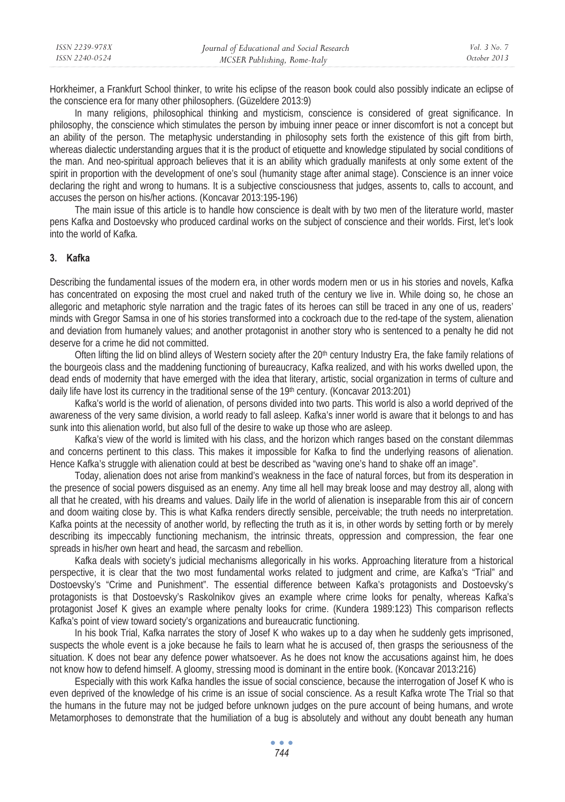| ISSN 2239-978X | Journal of Educational and Social Research | Vol. 3 No. 7 |
|----------------|--------------------------------------------|--------------|
| ISSN 2240-0524 | MCSER Publishing, Rome-Italy               | October 2013 |

Horkheimer, a Frankfurt School thinker, to write his eclipse of the reason book could also possibly indicate an eclipse of the conscience era for many other philosophers. (Güzeldere 2013:9)

In many religions, philosophical thinking and mysticism, conscience is considered of great significance. In philosophy, the conscience which stimulates the person by imbuing inner peace or inner discomfort is not a concept but an ability of the person. The metaphysic understanding in philosophy sets forth the existence of this gift from birth, whereas dialectic understanding argues that it is the product of etiquette and knowledge stipulated by social conditions of the man. And neo-spiritual approach believes that it is an ability which gradually manifests at only some extent of the spirit in proportion with the development of one's soul (humanity stage after animal stage). Conscience is an inner voice declaring the right and wrong to humans. It is a subjective consciousness that judges, assents to, calls to account, and accuses the person on his/her actions. (Koncavar 2013:195-196)

The main issue of this article is to handle how conscience is dealt with by two men of the literature world, master pens Kafka and Dostoevsky who produced cardinal works on the subject of conscience and their worlds. First, let's look into the world of Kafka.

## **3. Kafka**

Describing the fundamental issues of the modern era, in other words modern men or us in his stories and novels, Kafka has concentrated on exposing the most cruel and naked truth of the century we live in. While doing so, he chose an allegoric and metaphoric style narration and the tragic fates of its heroes can still be traced in any one of us, readers' minds with Gregor Samsa in one of his stories transformed into a cockroach due to the red-tape of the system, alienation and deviation from humanely values; and another protagonist in another story who is sentenced to a penalty he did not deserve for a crime he did not committed.

Often lifting the lid on blind alleys of Western society after the 20th century Industry Era, the fake family relations of the bourgeois class and the maddening functioning of bureaucracy, Kafka realized, and with his works dwelled upon, the dead ends of modernity that have emerged with the idea that literary, artistic, social organization in terms of culture and daily life have lost its currency in the traditional sense of the 19th century. (Koncavar 2013:201)

Kafka's world is the world of alienation, of persons divided into two parts. This world is also a world deprived of the awareness of the very same division, a world ready to fall asleep. Kafka's inner world is aware that it belongs to and has sunk into this alienation world, but also full of the desire to wake up those who are asleep.

Kafka's view of the world is limited with his class, and the horizon which ranges based on the constant dilemmas and concerns pertinent to this class. This makes it impossible for Kafka to find the underlying reasons of alienation. Hence Kafka's struggle with alienation could at best be described as "waving one's hand to shake off an image".

Today, alienation does not arise from mankind's weakness in the face of natural forces, but from its desperation in the presence of social powers disguised as an enemy. Any time all hell may break loose and may destroy all, along with all that he created, with his dreams and values. Daily life in the world of alienation is inseparable from this air of concern and doom waiting close by. This is what Kafka renders directly sensible, perceivable; the truth needs no interpretation. Kafka points at the necessity of another world, by reflecting the truth as it is, in other words by setting forth or by merely describing its impeccably functioning mechanism, the intrinsic threats, oppression and compression, the fear one spreads in his/her own heart and head, the sarcasm and rebellion.

Kafka deals with society's judicial mechanisms allegorically in his works. Approaching literature from a historical perspective, it is clear that the two most fundamental works related to judgment and crime, are Kafka's "Trial" and Dostoevsky's "Crime and Punishment". The essential difference between Kafka's protagonists and Dostoevsky's protagonists is that Dostoevsky's Raskolnikov gives an example where crime looks for penalty, whereas Kafka's protagonist Josef K gives an example where penalty looks for crime. (Kundera 1989:123) This comparison reflects Kafka's point of view toward society's organizations and bureaucratic functioning.

In his book Trial, Kafka narrates the story of Josef K who wakes up to a day when he suddenly gets imprisoned, suspects the whole event is a joke because he fails to learn what he is accused of, then grasps the seriousness of the situation. K does not bear any defence power whatsoever. As he does not know the accusations against him, he does not know how to defend himself. A gloomy, stressing mood is dominant in the entire book. (Koncavar 2013:216)

Especially with this work Kafka handles the issue of social conscience, because the interrogation of Josef K who is even deprived of the knowledge of his crime is an issue of social conscience. As a result Kafka wrote The Trial so that the humans in the future may not be judged before unknown judges on the pure account of being humans, and wrote Metamorphoses to demonstrate that the humiliation of a bug is absolutely and without any doubt beneath any human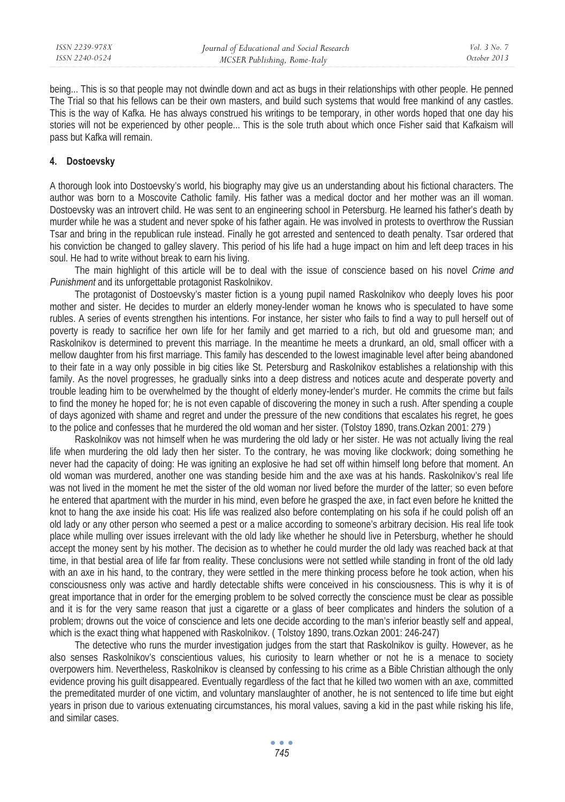being... This is so that people may not dwindle down and act as bugs in their relationships with other people. He penned The Trial so that his fellows can be their own masters, and build such systems that would free mankind of any castles. This is the way of Kafka. He has always construed his writings to be temporary, in other words hoped that one day his stories will not be experienced by other people... This is the sole truth about which once Fisher said that Kafkaism will pass but Kafka will remain.

## **4. Dostoevsky**

A thorough look into Dostoevsky's world, his biography may give us an understanding about his fictional characters. The author was born to a Moscovite Catholic family. His father was a medical doctor and her mother was an ill woman. Dostoevsky was an introvert child. He was sent to an engineering school in Petersburg. He learned his father's death by murder while he was a student and never spoke of his father again. He was involved in protests to overthrow the Russian Tsar and bring in the republican rule instead. Finally he got arrested and sentenced to death penalty. Tsar ordered that his conviction be changed to galley slavery. This period of his life had a huge impact on him and left deep traces in his soul. He had to write without break to earn his living.

The main highlight of this article will be to deal with the issue of conscience based on his novel *Crime and Punishment* and its unforgettable protagonist Raskolnikov.

The protagonist of Dostoevsky's master fiction is a young pupil named Raskolnikov who deeply loves his poor mother and sister. He decides to murder an elderly money-lender woman he knows who is speculated to have some rubles. A series of events strengthen his intentions. For instance, her sister who fails to find a way to pull herself out of poverty is ready to sacrifice her own life for her family and get married to a rich, but old and gruesome man; and Raskolnikov is determined to prevent this marriage. In the meantime he meets a drunkard, an old, small officer with a mellow daughter from his first marriage. This family has descended to the lowest imaginable level after being abandoned to their fate in a way only possible in big cities like St. Petersburg and Raskolnikov establishes a relationship with this family. As the novel progresses, he gradually sinks into a deep distress and notices acute and desperate poverty and trouble leading him to be overwhelmed by the thought of elderly money-lender's murder. He commits the crime but fails to find the money he hoped for; he is not even capable of discovering the money in such a rush. After spending a couple of days agonized with shame and regret and under the pressure of the new conditions that escalates his regret, he goes to the police and confesses that he murdered the old woman and her sister. (Tolstoy 1890, trans.Ozkan 2001: 279 )

Raskolnikov was not himself when he was murdering the old lady or her sister. He was not actually living the real life when murdering the old lady then her sister. To the contrary, he was moving like clockwork; doing something he never had the capacity of doing: He was igniting an explosive he had set off within himself long before that moment. An old woman was murdered, another one was standing beside him and the axe was at his hands. Raskolnikov's real life was not lived in the moment he met the sister of the old woman nor lived before the murder of the latter; so even before he entered that apartment with the murder in his mind, even before he grasped the axe, in fact even before he knitted the knot to hang the axe inside his coat: His life was realized also before contemplating on his sofa if he could polish off an old lady or any other person who seemed a pest or a malice according to someone's arbitrary decision. His real life took place while mulling over issues irrelevant with the old lady like whether he should live in Petersburg, whether he should accept the money sent by his mother. The decision as to whether he could murder the old lady was reached back at that time, in that bestial area of life far from reality. These conclusions were not settled while standing in front of the old lady with an axe in his hand, to the contrary, they were settled in the mere thinking process before he took action, when his consciousness only was active and hardly detectable shifts were conceived in his consciousness. This is why it is of great importance that in order for the emerging problem to be solved correctly the conscience must be clear as possible and it is for the very same reason that just a cigarette or a glass of beer complicates and hinders the solution of a problem; drowns out the voice of conscience and lets one decide according to the man's inferior beastly self and appeal, which is the exact thing what happened with Raskolnikov. ( Tolstoy 1890, trans.Ozkan 2001: 246-247)

The detective who runs the murder investigation judges from the start that Raskolnikov is guilty. However, as he also senses Raskolnikov's conscientious values, his curiosity to learn whether or not he is a menace to society overpowers him. Nevertheless, Raskolnikov is cleansed by confessing to his crime as a Bible Christian although the only evidence proving his guilt disappeared. Eventually regardless of the fact that he killed two women with an axe, committed the premeditated murder of one victim, and voluntary manslaughter of another, he is not sentenced to life time but eight years in prison due to various extenuating circumstances, his moral values, saving a kid in the past while risking his life, and similar cases.